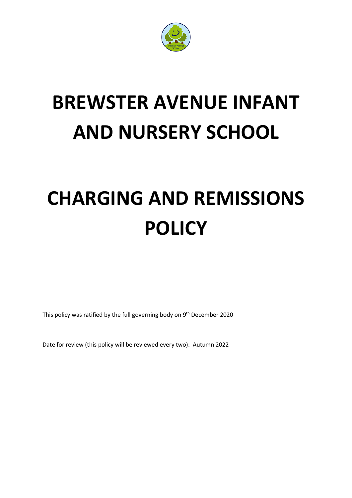

# **BREWSTER AVENUE INFANT AND NURSERY SCHOOL**

# **CHARGING AND REMISSIONS POLICY**

This policy was ratified by the full governing body on 9<sup>th</sup> December 2020

Date for review (this policy will be reviewed every two): Autumn 2022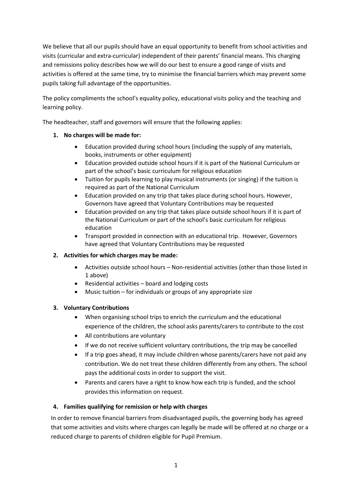We believe that all our pupils should have an equal opportunity to benefit from school activities and visits (curricular and extra-curricular) independent of their parents' financial means. This charging and remissions policy describes how we will do our best to ensure a good range of visits and activities is offered at the same time, try to minimise the financial barriers which may prevent some pupils taking full advantage of the opportunities.

The policy compliments the school's equality policy, educational visits policy and the teaching and learning policy.

The headteacher, staff and governors will ensure that the following applies:

- **1. No charges will be made for:**
	- Education provided during school hours (including the supply of any materials, books, instruments or other equipment)
	- Education provided outside school hours if it is part of the National Curriculum or part of the school's basic curriculum for religious education
	- Tuition for pupils learning to play musical instruments (or singing) if the tuition is required as part of the National Curriculum
	- Education provided on any trip that takes place during school hours. However, Governors have agreed that Voluntary Contributions may be requested
	- Education provided on any trip that takes place outside school hours if it is part of the National Curriculum or part of the school's basic curriculum for religious education
	- Transport provided in connection with an educational trip. However, Governors have agreed that Voluntary Contributions may be requested

## **2. Activities for which charges may be made:**

- Activities outside school hours Non-residential activities (other than those listed in 1 above)
- Residential activities board and lodging costs
- Music tuition for individuals or groups of any appropriate size

#### **3. Voluntary Contributions**

- When organising school trips to enrich the curriculum and the educational experience of the children, the school asks parents/carers to contribute to the cost
- All contributions are voluntary
- If we do not receive sufficient voluntary contributions, the trip may be cancelled
- If a trip goes ahead, it may include children whose parents/carers have not paid any contribution. We do not treat these children differently from any others. The school pays the additional costs in order to support the visit.
- Parents and carers have a right to know how each trip is funded, and the school provides this information on request.

#### **4. Families qualifying for remission or help with charges**

In order to remove financial barriers from disadvantaged pupils, the governing body has agreed that some activities and visits where charges can legally be made will be offered at no charge or a reduced charge to parents of children eligible for Pupil Premium.